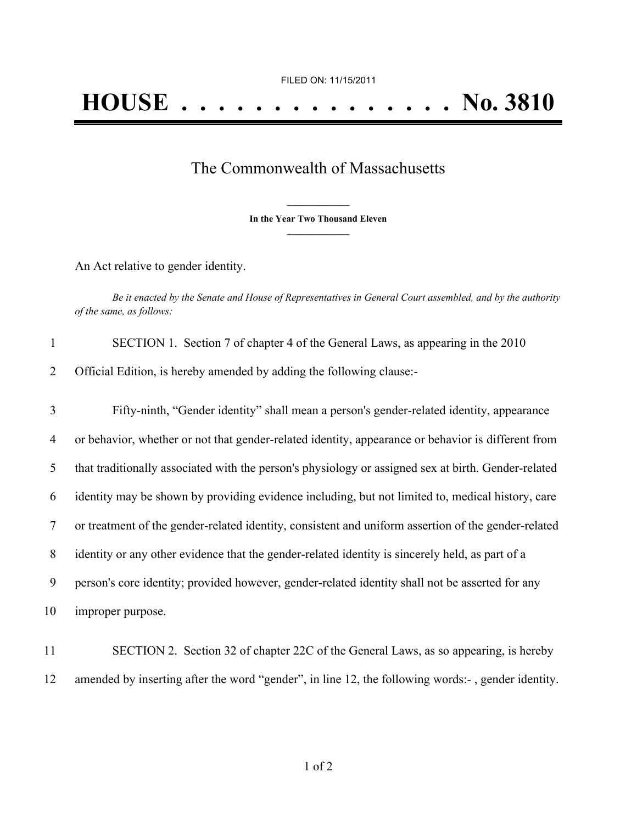## The Commonwealth of Massachusetts

**\_\_\_\_\_\_\_\_\_\_\_\_\_\_\_ In the Year Two Thousand Eleven \_\_\_\_\_\_\_\_\_\_\_\_\_\_\_**

An Act relative to gender identity.

Be it enacted by the Senate and House of Representatives in General Court assembled, and by the authority *of the same, as follows:*

| $\mathbf{1}$ | SECTION 1. Section 7 of chapter 4 of the General Laws, as appearing in the 2010                     |
|--------------|-----------------------------------------------------------------------------------------------------|
| 2            | Official Edition, is hereby amended by adding the following clause:-                                |
| 3            | Fifty-ninth, "Gender identity" shall mean a person's gender-related identity, appearance            |
| 4            | or behavior, whether or not that gender-related identity, appearance or behavior is different from  |
| 5            | that traditionally associated with the person's physiology or assigned sex at birth. Gender-related |
| 6            | identity may be shown by providing evidence including, but not limited to, medical history, care    |
| 7            | or treatment of the gender-related identity, consistent and uniform assertion of the gender-related |
| 8            | identity or any other evidence that the gender-related identity is sincerely held, as part of a     |
| 9            | person's core identity; provided however, gender-related identity shall not be asserted for any     |
| 10           | improper purpose.                                                                                   |
|              |                                                                                                     |

11 SECTION 2. Section 32 of chapter 22C of the General Laws, as so appearing, is hereby 12 amended by inserting after the word "gender", in line 12, the following words:- , gender identity.